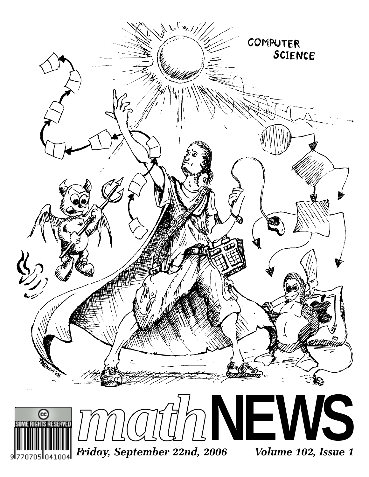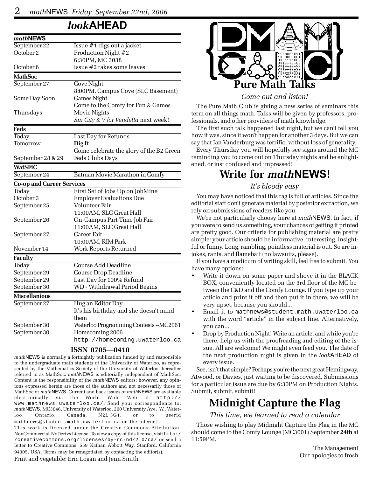### *look***AHEAD**

| Issue #1 digs out a jacket<br>Production Night #2<br>6:30PM, MC 3038<br>Issue #2 rakes some leaves<br>Cove Night |
|------------------------------------------------------------------------------------------------------------------|
|                                                                                                                  |
|                                                                                                                  |
|                                                                                                                  |
|                                                                                                                  |
|                                                                                                                  |
|                                                                                                                  |
|                                                                                                                  |
| 8:00PM, Campus Cove (SLC Basement)                                                                               |
| <b>Games Night</b>                                                                                               |
| Come to the Comfy for Fun & Games                                                                                |
| Movie Nights                                                                                                     |
| Sin City & V for Vendetta next week!                                                                             |
|                                                                                                                  |
| Last Day for Refunds                                                                                             |
| Dig It                                                                                                           |
| Come celebrate the glory of the B2 Green                                                                         |
| Feds Clubs Days                                                                                                  |
|                                                                                                                  |
| Batman Movie Marathon in Comfy                                                                                   |
| <b>Co-op and Career Services</b>                                                                                 |
| First Set of Jobs Up on JobMine                                                                                  |
| <b>Employer Evaluations Due</b>                                                                                  |
| Volunteer Fair                                                                                                   |
| 11:00AM, SLC Great Hall                                                                                          |
| On-Campus Part-Time Job Fair                                                                                     |
| 11:00AM, SLC Great Hall                                                                                          |
| Career Fair                                                                                                      |
| 10:00AM, RIM Park                                                                                                |
| Work Reports Returned                                                                                            |
|                                                                                                                  |
| Course Add Deadline                                                                                              |
| Course Drop Deadline                                                                                             |
| Last Day for 100% Refund                                                                                         |
| WD - Withdrawal Period Begins                                                                                    |
|                                                                                                                  |
| Hug an Editor Day                                                                                                |
| It's his birthday and she doesn't mind                                                                           |
| them                                                                                                             |
| Waterloo Programming Contests -- MC2061                                                                          |
| Homecoming 2006                                                                                                  |
| http://homecoming.uwaterloo.ca                                                                                   |
| ISSN 0705-0410                                                                                                   |
|                                                                                                                  |

*math*NEWS is normally a fortnightly publication funded by and responsible to the undergraduate math students of the University of Waterloo, as represented by the Mathematics Society of the University of Waterloo, hereafter referred to as MathSoc. *math*NEWS is editorially independent of MathSoc. Content is the responsibility of the *math*NEWS editors; however, any opinions expressed herein are those of the authors and not necessarily those of MathSoc or *math*NEWS. Current and back issues of *math*NEWS are available electronically via the World Wide Web at http:// www.mathnews.uwaterloo.ca/. Send your correspondence to: *math*NEWS, MC3046, University of Waterloo, 200 University Ave. W., Waterloo, Ontario, Canada, N2L 3G1, or to userid mathnews@student.math.uwaterloo.ca on the Internet.

This work is licensed under the Creative Commons Attribution-NonCommercial-NoDerivs License. To view a copy of this license, visit http:/ /creativecommons.org/licenses/by-nc-nd/2.0/ca/ or send a letter to Creative Commons, 559 Nathan Abbott Way, Stanford, California 94305, USA. Terms may be renegotiated by contacting the editor(s). Fruit and vegetable: Eric Logan and Jenn Smith



*Come out and listen!*

The Pure Math Club is giving a new series of seminars this term on all things math. Talks will be given by professors, professionals, and other providers of math knowledge.

The first such talk happened last night, but we can't tell you how it was, since it won't happen for another 3 days. But we can say that Ian Vanderburg was terrific, without loss of generality.

Every Thursday you will hopefully see signs around the MC reminding you to come out on Thursday nights and be enlightened, or just confused and impressed!

### **Write for** *math***NEWS!**

#### *It's bloody easy*

You may have noticed that this rag is full of articles. Since the editorial staff don't generate material by posterior extraction, we rely on submissions of readers like you.

We're not particularly choosy here at *math*NEWS. In fact, if you were to send us something, your chances of getting it printed are pretty good. Our criteria for publishing material are pretty simple: your article should be informative, interesting, insightful or funny. Long, rambling, pointless material is out. So are injokes, rants, and flamebait (no lawsuits, please).

If you have a modicum of writing skill, feel free to submit. You have many options:

- Write it down on some paper and shove it in the BLACK BOX, conveniently located on the 3rd floor of the MC between the C&D and the Comfy Lounge. If you type up your article and print it off and then put it in there, we will be very upset, because you should...
- Email it to mathnews@student.math.uwaterloo.ca with the word "article" in the subject line. Alternatively, you can...
- Drop by Production Night! Write an article, and while you're there, help us with the proofreading and editing of the issue. All are welcome! We might even feed you. The date of the next production night is given in the *look*AHEAD of every issue.

See, isn't that simple? Perhaps you're the next great Hemingway, Atwood, or Davies, just waiting to be discovered. Submissions for a particular issue are due by 6:30PM on Production Nights. Submit, submit, submit!

### **Midnight Capture the Flag**

*This time, we learned to read a calendar*

Those wishing to play Midnight Capture the Flag in the MC should come to the Comfy Lounge (MC3001) September **24th** at 11:59PM.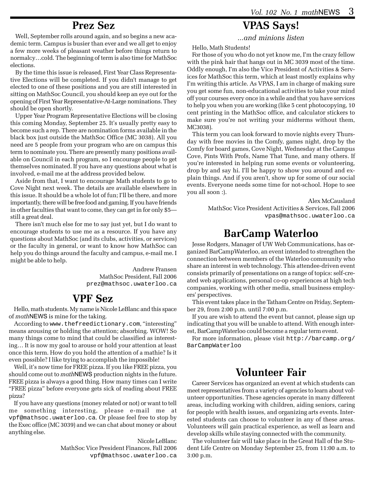### **Prez Sez**

Well, September rolls around again, and so begins a new academic term. Campus is busier than ever and we all get to enjoy a few more weeks of pleasant weather before things return to normalcy…cold. The beginning of term is also time for MathSoc elections.

By the time this issue is released, First Year Class Representative Elections will be completed. If you didn't manage to get elected to one of these positions and you are still interested in sitting on MathSoc Council, you should keep an eye out for the opening of First Year Representative-At-Large nominations. They should be open shortly.

Upper Year Program Representative Elections will be closing this coming Monday, September 25. It's usually pretty easy to become such a rep. There are nomination forms available in the black box just outside the MathSoc Office (MC 3038). All you need are 5 people from your program who are on campus this term to nominate you. There are presently many positions available on Council in each program, so I encourage people to get themselves nominated. If you have any questions about what is involved, e-mail me at the address provided below.

Aside from that, I want to encourage Math students to go to Cove Night next week. The details are available elsewhere in this issue. It should be a whole lot of fun; I'll be there, and more importantly, there will be free food and gaming. If you have friends in other faculties that want to come, they can get in for only \$5 still a great deal.

There isn't much else for me to say just yet, but I do want to encourage students to use me as a resource. If you have any questions about MathSoc (and its clubs, activities, or services) or the faculty in general, or want to know how MathSoc can help you do things around the faculty and campus, e-mail me. I might be able to help.

> Andrew Fransen MathSoc President, Fall 2006 prez@mathsoc.uwaterloo.ca

### **VPF Sez**

Hello, math students. My name is Nicole LeBlanc and this space of *math*NEWS is mine for the taking.

According to www.thefreedictionary.com, "interesting" means arousing or holding the attention; absorbing. WOW! So many things come to mind that could be classified as interesting… It is now my goal to arouse or hold your attention at least once this term. How do you hold the attention of a mathie? Is it even possible? I like trying to accomplish the impossible!

Well, it's now time for FREE pizza. If you like FREE pizza, you should come out to *math*NEWS production nights in the future. FREE pizza is always a good thing. How many times can I write "FREE pizza" before everyone gets sick of reading about FREE pizza?

If you have any questions (money related or not) or want to tell me something interesting, please e-mail me at vpf@mathsoc.uwaterloo.ca. Or please feel free to stop by the Exec office (MC 3039) and we can chat about money or about anything else.

> Nicole LeBlanc MathSoc Vice President Finances, Fall 2006 vpf@mathsoc.uwaterloo.ca

### **VPAS Says!**

*...and minions listen*

Hello, Math Students!

For those of you who do not yet know me, I'm the crazy fellow with the pink hair that hangs out in MC 3039 most of the time. Oddly enough, I'm also the Vice President of Activities & Services for MathSoc this term, which at least mostly explains why I'm writing this article. As VPAS, I am in charge of making sure you get some fun, non-educational activities to take your mind off your courses every once in a while and that you have services to help you when you are working (like 5 cent photocopying, 10 cent printing in the MathSoc office, and calculator stickers to make sure you're not writing your midterms without them, MC3038).

This term you can look forward to movie nights every Thursday with free movies in the Comfy, games night, drop by the Comfy for board games, Cove Night, Wednesday at the Campus Cove, Pints With Profs, Name That Tune, and many others. If you're interested in helping run some events or volunteering, drop by and say hi. I'll be happy to show you around and explain things. And if you aren't, show up for some of our social events. Everyone needs some time for not-school. Hope to see you all soon :).

Alex McCausland

 MathSoc Vice President Activities & Services, Fall 2006 vpas@mathsoc.uwaterloo.ca

### **BarCamp Waterloo**

Jesse Rodgers, Manager of UW Web Communications, has organized BarCampWaterloo, an event intended to strengthen the connection between members of the Waterloo community who share an interest in web technology. This attendee-driven event consists primarily of presentations on a range of topics: self-created web applications, personal co-op experiences at high tech companies, working with other media, small business employers' perspectives.

This event takes place in the Tatham Centre on Friday, September 29, from 2:00 p.m. until 7:00 p.m.

If you are wish to attend the event but cannot, please sign up indicating that you will be unable to attend. With enough interest, BarCampWaterloo could become a regular term event.

For more information, please visit http://barcamp.org/ BarCampWaterloo

### **Volunteer Fair**

Career Services has organized an event at which students can meet representatives from a variety of agencies to learn about volunteer opportunities. These agencies operate in many different areas, including working with children, aiding seniors, caring for people with health issues, and organizing arts events. Interested students can choose to volunteer in any of these areas. Volunteers will gain practical experience, as well as learn and develop skills while staying connected with the community.

The volunteer fair will take place in the Great Hall of the Student Life Centre on Monday September 25, from 11:00 a.m. to 3:00 p.m.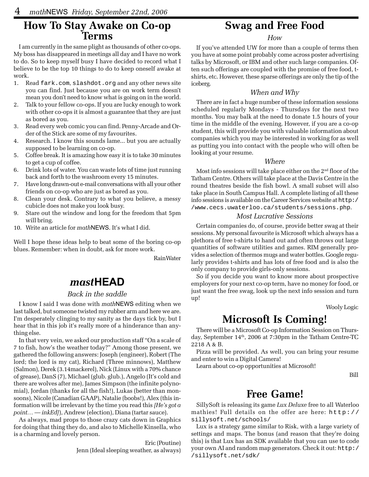### **How To Stay Awake on Co-op Terms**

I am currently in the same plight as thousands of other co-ops. My boss has disappeared in meetings all day and I have no work to do. So to keep myself busy I have decided to record what I believe to be the top 10 things to do to keep oneself awake at work.

- 1. Read fark.com, slashdot.org and any other news site you can find. Just because you are on work term doesn't mean you don't need to know what is going on in the world.
- 2. Talk to your fellow co-ops. If you are lucky enough to work with other co-ops it is almost a guarantee that they are just as bored as you.
- 3. Read every web comic you can find. Penny-Arcade and Order of the Stick are some of my favourites.
- 4. Research. I know this sounds lame... but you are actually supposed to be learning on co-op.
- 5. Coffee break. It is amazing how easy it is to take 30 minutes to get a cup of coffee.
- 6. Drink lots of water. You can waste lots of time just running back and forth to the washroom every 15 minutes.
- 7. Have long drawn-out e-mail conversations with all your other friends on co-op who are just as bored as you.
- 8. Clean your desk. Contrary to what you believe, a messy cubicle does not make you look busy.
- 9. Stare out the window and long for the freedom that 5pm will bring.
- 10. Write an article for *math*NEWS. It's what I did.

Well I hope these ideas help to beat some of the boring co-op blues. Remember: when in doubt, ask for more work.

RainWater

### *mast***HEAD**

#### *Back in the saddle*

I know I said I was done with *math*NEWS editing when we last talked, but someone twisted my rubber arm and here we are. I'm desperately clinging to my sanity as the days tick by, but I hear that in this job it's really more of a hinderance than anything else.

In that very vein, we asked our production staff "On a scale of 7 to fish, how's the weather today?" Among those present, we gathered the following answers: Joseph (engineer), Robert (The lord; the lord is my cat), Richard (Three minnows), Matthew (Salmon), Derek (3.14mackerel), Nick (Linux with a 70% chance of grease), DanS (7), Michael (glub. glub.), Angelo (It's cold and there are wolves after me), James Simpson (the infinite polynomial), Jordan (thanks for all the fish!), Lukas (better than monsoons), Nicole (Canadian GAAP), Natalie (boobs!), Alex (this information will be irrelevant by the time you read this *[He's got a point… — inkEd]*), Andrew (election), Diana (tartar sauce).

As always, mad props to those crazy cats down in Graphics for doing that thing they do, and also to Michelle Kinsella, who is a charming and lovely person.

> Eric (Poutine) Jenn (Ideal sleeping weather, as always)

### **Swag and Free Food**

#### *How*

If you've attended UW for more than a couple of terms then you have at some point probably come across poster advertising talks by Microsoft, or IBM and other such large companies. Often such offerings are coupled with the promise of free food, tshirts, etc. However, these sparse offerings are only the tip of the iceberg.

#### *When and Why*

There are in fact a huge number of these information sessions scheduled regularly Mondays - Thursdays for the next two months. You may balk at the need to donate 1.5 hours of your time in the middle of the evening. However, if you are a co-op student, this will provide you with valuable information about companies which you may be interested in working for as well as putting you into contact with the people who will often be looking at your resume.

#### *Where*

Most info sessions will take place either on the 2<sup>nd</sup> floor of the Tatham Centre. Others will take place at the Davis Centre in the round theatres beside the fish bowl. A small subset will also take place in South Campus Hall. A complete listing of all these info sessions is available on the Career Services website at http:/ /www.cecs.uwaterloo.ca/students/sessions.php.

#### *Most Lucrative Sessions*

Certain companies do, of course, provide better swag at their sessions. My personal favourite is Microsoft which always has a plethora of free t-shirts to hand out and often throws out large quantities of software utilities and games. RIM generally provides a selection of thermos mugs and water bottles. Google regularly provides t-shirts and has lots of free food and is also the only company to provide girls-only sessions.

So if you decide you want to know more about prospective employers for your next co-op term, have no money for food, or just want the free swag, look up the next info session and turn up!

Wooly Logic

### **Microsoft Is Coming!**

There will be a Microsoft Co-op Information Session on Thursday, September 14<sup>th</sup>, 2006 at 7:30pm in the Tatham Centre-TC 2218 A & B.

Pizza will be provided. As well, you can bring your resume and enter to win a Digital Camera!

Learn about co-op opportunities at Microsoft!

Bill

### **Free Game!**

SillySoft is releasing its game *Lux Deluxe* free to all Waterloo mathies! Full details on the offer are here: http:// sillysoft.net/schools/

Lux is a strategy game similar to Risk, with a large variety of settings and maps. The bonus (and reason that they're doing this) is that Lux has an SDK available that you can use to code your own AI and random map generators. Check it out: http:/ /sillysoft.net/sdk/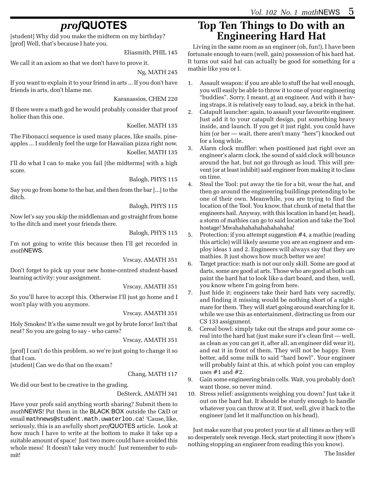### *prof***QUOTES**

[student] Why did you make the midterm on my birthday? [prof] Well, that's because I hate you.

Eliasmith, PHIL 145

We call it an axiom so that we don't have to prove it.

Ng, MATH 245

If you want to explain it to your friend in arts ... If you don't have friends in arts, don't blame me.

Karanassios, CHEM 220

If there were a math god he would probably consider that proof holier than this one.

Koeller, MATH 135

The Fibonacci sequence is used many places, like snails, pineapples ... I suddenly feel the urge for Hawaiian pizza right now. Koeller, MATH 135

I'll do what I can to make you fail [the midterms] with a high score.

Balogh, PHYS 115

Say you go from home to the bar, and then from the bar [...] to the ditch.

Balogh, PHYS 115

Now let's say you skip the middleman and go straight from home to the ditch and meet your friends there.

Balogh, PHYS 115

I'm not going to write this because then I'll get recorded in *math*NEWS.

Vrscay, AMATH 351

Don't forget to pick up your new home-centred student-based learning activity: your assignment.

Vrscay, AMATH 351

So you'll have to accept this. Otherwise I'll just go home and I won't play with you anymore.

Vrscay, AMATH 351

Holy Smokes! It's the same result we got by brute force! Isn't that neat? So you are going to say - who cares?

Vrscay, AMATH 351

[prof] I can't do this problem, so we're just going to change it so that I can.

[student] Can we do that on the exam?

Chang, MATH 117

We did our best to be creative in the grading.

#### DeSterck, AMATH 341

Have your profs said anything worth sharing? Submit them to *math*NEWS! Put them in the BLACK BOX outside the C&D or email mathnews@student.math.uwaterloo.ca! 'Cause, like, seriously, this is an awfully short *prof*QUOTES article. Look at how much I have to write at the bottom to make it take up a suitable amount of space! Just two more could have avoided this whole mess! It doesn't take very much! Just remember to submit!

# **Top Ten Things to Do with an Engineering Hard Hat**

Living in the same room as an engineer (oh, fun!), I have been fortunate enough to earn (well, gain) possession of his hard hat. It turns out said hat can actually be good for something for a mathie like you or I.

- 1. Assault weapon: if you are able to stuff the hat well enough, you will easily be able to throw it to one of your engineering "buddies". Sorry, I meant, at an engineer. And with it having straps, it is relatively easy to load, say, a brick in the hat.
- 2. Catapult launcher: again, to assault your favourite engineer. Just add it to your catapult design, put something heavy inside, and launch. If you get it just right, you could have him (or her — wait, there aren't many "hers") knocked out for a long while.
- 3. Alarm clock muffler: when positioned just right over an engineer's alarm clock, the sound of said clock will bounce around the hat, but not go through as loud. This will prevent (or at least inhibit) said engineer from making it to class on time.
- 4. Steal the Tool: put away the tie for a bit, wear the hat, and then go around the engineering buildings pretending to be one of their own. Meanwhile, you are trying to find the location of the Tool. You know, that chunk of metal that the engineers hail. Anyway, with this location in hand (er, head), a storm of mathies can go to said location and take the Tool hostage! Mwahahahahahahahahaha!
- 5. Protection: if you attempt suggestion #4, a mathie (reading this article) will likely assume you are an engineer and employ ideas 1 and 2. Engineers will always say that they are mathies. It just shows how much better we are!
- 6. Target practice: math is not our only skill. Some are good at darts, some are good at arts. Those who are good at both can paint the hard hat to look like a dart board, and then, well, you know where I'm going from here.
- 7. Just hide it: engineers take their hard hats very sacredly, and finding it missing would be nothing short of a nightmare for them. They will start going around searching for it, while we use this as entertainment, distracting us from our CS 133 assignment.
- 8. Cereal bowl: simply take out the straps and pour some cereal into the hard hat (just make sure it's clean first — well, as clean as you can get it, after all, an engineer did wear it), and eat it in front of them. They will not be happy. Even better, add some milk to said "hard bowl". Your engineer will probably faint at this, at which point you can employ uses  $#1$  and  $#2$ .
- 9. Gain some engineering brain cells. Wait, you probably don't want those, so never mind.
- 10. Stress relief: assignments weighing you down? Just take it out on the hard hat. It should be sturdy enough to handle whatever you can throw at it. If not, well, give it back to the engineer (and let it malfunction on his head).

Just make sure that you protect your tie at all times as they will so desperately seek revenge. Heck, start protecting it now (there's nothing stopping an engineer from reading this you know).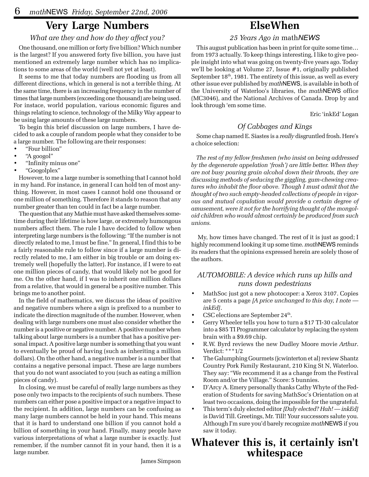### **Very Large Numbers**

#### *What are they and how do they affect you?*

One thousand, one million or forty five billion? Which number is the largest? If you answered forty five billion, you have just mentioned an extremely large number which has no implications to some areas of the world (well not yet at least).

It seems to me that today numbers are flooding us from all different directions, which in general is not a terrible thing. At the same time, there is an increasing frequency in the number of times that large numbers (exceeding one thousand) are being used. For instace, world population, various economic figures and things relating to science, technology of the Milky Way appear to be using large amounts of these large numbers.

To begin this brief discussion on large numbers, I have decided to ask a couple of random people what they consider to be a large number. The following are their responses:

- "Four billion"
- "A googol"
- "Infinity minus one"
- "Googolplex"

However, to me a large number is something that I cannot hold in my hand. For instance, in general I can hold ten of most anything. However, in most cases I cannot hold one thousand or one million of something. Therefore it stands to reason that any number greater than ten could in fact be a large number.

The question that any Mathie must have asked themselves sometime during their lifetime is how large, or extremely humongous numbers affect them. The rule I have decided to follow when interpreting large numbers is the following: "If the number is not directly related to me, I must be fine." In general, I find this to be a fairly reasonable rule to follow since if a large number is directly related to me, I am either in big trouble or am doing extremely well (hopefully the latter). For instance, if I were to eat one million pieces of candy, that would likely not be good for me. On the other hand, if I was to inherit one million dollars from a relative, that would in general be a positive number. This brings me to another point.

In the field of mathematics, we discuss the ideas of positive and negative numbers where a sign is prefixed to a number to indicate the direction magnitude of the number. However, when dealing with large numbers one must also consider whether the number is a positive or negative number. A positive number when talking about large numbers is a number that has a positive personal impact. A positive large number is something that you want to eventually be proud of having (such as inheriting a million dollars). On the other hand, a negative number is a number that contains a negative personal impact. These are large numbers that you do not want associated to you (such as eating a million pieces of candy).

In closing, we must be careful of really large numbers as they pose only two impacts to the recipients of such numbers. These numbers can either pose a positive impact or a negative impact to the recipient. In addition, large numbers can be confusing as many large numbers cannot be held in your hand. This means that it is hard to understand one billion if you cannot hold a billion of something in your hand. Finally, many people have various interpretations of what a large number is exactly. Just remember, if the number cannot fit in your hand, then it is a large number.

### **ElseWhen**

#### *25 Years Ago in* math*NEWS*

This august publication has been in print for quite some time… from 1973 actually. To keep things interesting, I like to give people insight into what was going on twenty-five years ago. Today we'll be looking at Volume 27, Issue #1, originally published September  $18<sup>th</sup>$ , 1981. The entirety of this issue, as well as every other issue ever published by *math*NEWS, is available in both of the University of Waterloo's libraries, the *math*NEWS office (MC3046), and the National Archives of Canada. Drop by and look through 'em some time.

Eric 'inkEd' Logan

#### *Of Cabbages and Kings*

Some chap named E. Siastes is a *really* disgruntled frosh. Here's a choice selection:

*The rest of my fellow freshmen (who insist on being addressed by the degenerate appelation 'frosh') are little better. When they are not busy pouring grain alcohol down their throats, they are discussing methods of seducing the giggling, gum-chewing creatures who inhabit the floor above. Though I must admit that the thought of two such empty-headed collections of people in vigorous and mutual copulation would provide a certain degree of amusement, were it not for the horrifying thought of the mongoloid children who would almost certainly be produced from such unions.*

 My, how times have changed. The rest of it is just as good; I highly recommend looking it up some time. *math*NEWS reminds its readers that the opinions expressed herein are solely those of the authors.

#### *AUTOMOBILE: A device which runs up hills and runs down pedestrians*

- MathSoc just got a new photocoper: a Xerox 3107. Copies are 5 cents a page *[A price unchanged to this day, I note inkEd]*.
- CSC elections are September 24<sup>th</sup>.
- Gerry Wheeler tells you how to turn a \$17 TI-30 calculator into a \$85 TI Programmer calculator by replacing the system brain with a \$9.69 chip.
- R.W. Byrd reviews the new Dudley Moore movie *Arthur*. Verdict: \*\*\*1/2
- The Galumphing Gourmets (jcwinterton et al) review Shantz Country Pork Family Restaurant, 210 King St N, Waterloo. They say: "We recommend it as a change from the Festival Room and/or the Village." Score: 5 bunnies.
- D'Arcy A. Emery personally thanks Cathy Whyte of the Federation of Students for saving MathSoc's Orientation on at least two occasions, doing the impossible for the ungrateful.
- This term's duly elected editor *[Duly elected? Hah! inkEd]* is David Till. Greetings, Mr. Till! Your successors salute you. Although I'm sure you'd barely recognize *math*NEWS if you saw it today.

## **Whatever this is, it certainly isn't whitespace**

James Simpson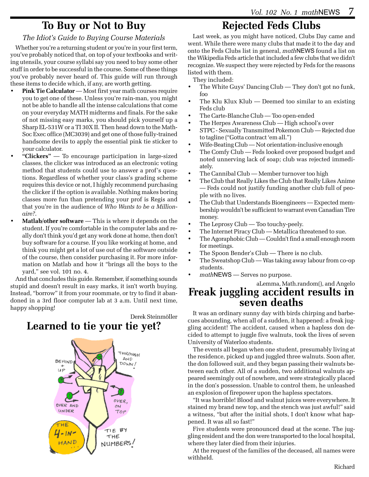### **To Buy or Not to Buy**

#### *The Idiot's Guide to Buying Course Materials*

Whether you're a returning student or you're in your first term, you've probably noticed that, on top of your textbooks and writing utensils, your course syllabi say you need to buy some other stuff in order to be successful in the course. Some of these things you've probably never heard of. This guide will run through these items to decide which, if any, are worth getting.

- **Pink Tie Calculator** Most first year math courses require you to get one of these. Unless you're rain-man, you might not be able to handle all the intense calculations that come on your everyday MATH midterms and finals. For the sake of not missing easy marks, you should pick yourself up a Sharp EL-531W or a TI 30X II. Then head down to the Math-Soc Exec office (MC3039) and get one of those fully-trained handsome devils to apply the essential pink tie sticker to your calculator.
- **"Clickers"** To encourage participation in large-sized classes, the clicker was introduced as an electronic voting method that students could use to answer a prof's questions. Regardless of whether your class's grading scheme requires this device or not, I highly recommend purchasing the clicker if the option is available. Nothing makes boring classes more fun than pretending your prof is Regis and that you're in the audience of *Who Wants to be a Millionaire?*.
- **Matlab/other software** This is where it depends on the student. If you're comfortable in the computer labs and really don't think you'd get any work done at home, then don't buy software for a course. If you like working at home, and think you might get a lot of use out of the software outside of the course, then consider purchasing it. For more information on Matlab and how it "brings all the boys to the yard," see vol. 101 no. 4.

And that concludes this guide. Remember, if something sounds stupid and doesn't result in easy marks, it isn't worth buying. Instead, "borrow" it from your roommate, or try to find it abandoned in a 3rd floor computer lab at 3 a.m. Until next time, happy shopping!

#### Derek Steinmöller **Learned to tie your tie yet?**



### **Rejected Feds Clubs**

Last week, as you might have noticed, Clubs Day came and went. While there were many clubs that made it to the day and onto the Feds Clubs list in general, *math*NEWS found a list on the Wikipedia Feds article that included a few clubs that we didn't recognize. We suspect they were rejected by Feds for the reasons listed with them.

They included:

- The White Guys' Dancing Club They don't got no funk, foo
- The Klu Klux Klub Deemed too similar to an existing Feds club
- The Carte-Blanche Club Too open-ended
- The Herpes Awareness Club High school's over
- STPC Sexually Transmitted Pokemon Club Rejected due to tagline ("Gotta contract 'em all.")
- Wife-Beating Club Not orientation-inclusive enough
- The Comfy Club Feds looked over proposed budget and noted unnerving lack of soap; club was rejected immediately.
- The Cannibal Club Member turnover too high
- The Club that Really Likes the Club that Really Likes Anime — Feds could not justify funding another club full of people with no lives.
- The Club that Understands Bioengineers Expected membership wouldn't be sufficient to warrant even Canadian Tire money.
- The Leprosy Club Too touchy-peely.
- The Internet Piracy Club Metallica threatened to sue.
- The Agoraphobic Club Couldn't find a small enough room for meetings.
- The Spoon Bender's Club There is no club.
- The Sweatshop Club Was taking away labour from co-op students.
- *math*NEWS Serves no purpose.

aLemma, Math.random(), and Angelo

# **Freak juggling accident results in seven deaths**

It was an ordinary sunny day with birds chirping and barbecues abounding, when all of a sudden, it happened: a freak juggling accident! The accident, caused when a hapless don decided to attempt to juggle five walnuts, took the lives of seven University of Waterloo students.

The events all began when one student, presumably living at the residence, picked up and juggled three walnuts. Soon after, the don followed suit, and they began passing their walnuts between each other. All of a sudden, two additional walnuts appeared seemingly out of nowhere, and were strategically placed in the don's possession. Unable to control them, he unleashed an explosion of firepower upon the hapless spectators.

"It was horrible! Blood and walnut juices were everywhere. It stained my brand new top, and the stench was just awful!" said a witness, "but after the initial shots, I don't know what happened. It was all so fast!"

Five students were pronounced dead at the scene. The juggling resident and the don were transported to the local hospital, where they later died from their injuries.

At the request of the families of the deceased, all names were withheld.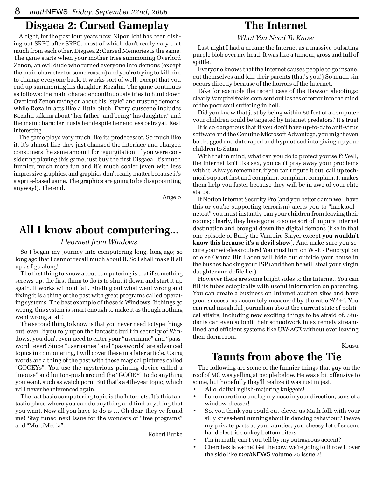### **Disgaea 2: Cursed Gameplay**

Alright, for the past four years now, Nipon Ichi has been dishing out SRPG after SRPG, most of which don't really vary that much from each other. Disgaea 2: Cursed Memories is the same. The game starts when your mother tries summoning Overlord Zenon, an evil dude who turned everyone into demons (except the main character for some reason) and you're trying to kill him to change everyone back. It works sort of well, except that you end up summoning his daughter, Rozalin. The game continues as follows: the main character continuously tries to hunt down Overlord Zenon raving on about his "style" and trusting demons, while Rozalin acts like a little bitch. Every cutscene includes Rozalin talking about "her father" and being "his daughter," and the main character trusts her despite her endless betrayal. Real interesting.

The game plays very much like its predecessor. So much like it, it's almost like they just changed the interface and charged consumers the same amount for regurgitation. If you were considering playing this game, just buy the first Disgaea. It's much funnier, much more fun and it's much cooler (even with less impressive graphics, and graphics don't really matter because it's a sprite-based game. The graphics are going to be disappointing anyway!). The end.

Angelo

### **All I know about computering...**

#### *I learned from Windows*

So I began my journey into computering long, long ago; so long ago that I cannot recall much about it. So I shall make it all up as I go along!

The first thing to know about computering is that if something screws up, the first thing to do is to shut it down and start it up again. It works without fail. Finding out what went wrong and fixing it is a thing of the past with great programs called operating systems. The best example of these is Windows. If things go wrong, this system is smart enough to make it as though nothing went wrong at all!

The second thing to know is that you never need to type things out, ever. If you rely upon the fantastic built in security of Windows, you don't even need to enter your "username" and "password" ever! Since "usernames" and "passwords" are advanced topics in computering, I will cover these in a later article. Using words are a thing of the past with these magical pictures called "GOOEYs". You use the mysterious pointing device called a "mouse" and button-push around the "GOOEY" to do anything you want, such as watch porn. But that's a 4th-year topic, which will never be referenced again.

The last basic computering topic is the Internets. It's this fantastic place where you can do anything and find anything that you want. Now all you have to do is … Oh dear, they've found me! Stay tuned next issue for the wonders of "free programs" and "MultiMedia".

Robert Burke

### **The Internet**

*What You Need To Know*

Last night I had a dream: the Internet as a massive pulsating purple blob over my head. It was like a tumour, gross and full of spittle.

Everyone knows that the Internet causes people to go insane, cut themselves and kill their parents (that's you!) So much sin occurs directly because of the horrors of the Internet.

Take for example the recent case of the Dawson shootings: clearly VampireFreaks.com sent out lashes of terror into the mind of the poor soul suffering in hell.

Did you know that just by being within 50 feet of a computer your children could be targeted by Internet predators? It's true!

It is so dangerous that if you don't have up-to-date anti-virus software and the Genuine Microsoft Advantage, you might even be drugged and date raped and hypnotised into giving up your children to Satan.

With that in mind, what can you do to protect yourself? Well, the Internet isn't like sex, you can't pray away your problems with it. Always remember, if you can't figure it out, call up technical support first and complain, complain, complain. It makes them help you faster because they will be in awe of your elite status.

If Norton Internet Security Pro (and you better damn well have this or you're supporting terrorism) alerts you to "hacktool netcat" you must instantly ban your children from leaving their rooms; clearly, they have gone to some sort of impure Internet destination and brought down the digital demons (like in that one episode of Buffy the Vampire Slayer except **you wouldn't know this because it's a devil show**). And make sure you secure your wireless routers! You must turn on W - E - P encryption or else Osama Bin Laden will hide out outside your house in the bushes hacking your ISP (and then he will steal your virgin daughter and defile her).

However there are some bright sides to the Internet. You can fill its tubes ectopically with useful information on parenting. You can create a business on Internet auction sites and have great success, as accurately measured by the ratio  $\mathcal{X}$ : $\dot{\mathcal{Y}}$ . You can read insightful journalism about the current state of political affairs, including new exciting things to be afraid of. Students can even submit their schoolwork in extremely streamlined and efficient systems like UW-ACE without ever leaving their dorm room!

Kousu

### **Taunts from above the Tie**

The following are some of the funnier things that guy on the roof of MC was yelling at people below. He was a bit offensive to some, but hopefully they'll realize it was just in jest.

- 'Allo, daffy English-majoring kniggets!
- I one more time unclog my nose in your direction, sons of a window-dresser!
- So, you think you could out-clever us Math folk with your silly knees-bent running about in dancing behaviour? I wave my private parts at your aunties, you cheesy lot of second hand electric donkey bottom biters.
- I'm in math, can't you tell by my outrageous accent?
- Cherchez la vache! Get the cow, we're going to throw it over the side like *math*NEWS volume 75 issue 2!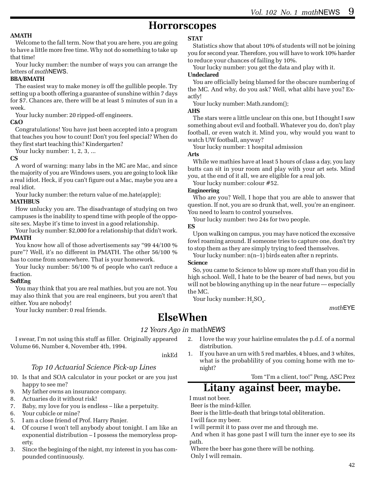### **Horrorscopes**

#### **AMATH**

Welcome to the fall term. Now that you are here, you are going to have a little more free time. Why not do something to take up that time!

Your lucky number: the number of ways you can arrange the letters of *math*NEWS.

#### **BBA/BMATH**

The easiest way to make money is off the gullible people. Try setting up a booth offering a guarantee of sunshine within 7 days for \$7. Chances are, there will be at least 5 minutes of sun in a week.

Your lucky number: 20 ripped-off engineers.

#### **C&O**

Congratulations! You have just been accepted into a program that teaches you how to count! Don't you feel special? When do they first start teaching this? Kindergarten?

Your lucky number: 1, 2, 3, ...

#### **CS**

A word of warning: many labs in the MC are Mac, and since the majority of you are Windows users, you are going to look like a real idiot. Heck, if you can't figure out a Mac, maybe you are a real idiot.

Your lucky number: the return value of me.hate(apple);

#### **MATHBUS**

How unlucky you are. The disadvantage of studying on two campuses is the inability to spend time with people of the opposite sex. Maybe it's time to invest in a good relationship.

Your lucky number: \$2,000 for a relationship that didn't work. **PMATH**

You know how all of those advertisements say "99 44/100 % pure"? Well, it's no different in PMATH. The other 56/100 % has to come from somewhere. That is your homework.

Your lucky number: 56/100 % of people who can't reduce a fraction.

#### **SoftEng**

You may think that you are real mathies, but you are not. You may also think that you are real engineers, but you aren't that either. You are nobody!

Your lucky number: 0 real friends.

### **ElseWhen**

#### *12 Years Ago in* math*NEWS*

I swear, I'm not using this stuff as filler. Originally appeared Volume 66, Number 4, November 4th, 1994.

inkEd

#### *Top 10 Actuarial Science Pick-up Lines*

- 10. Is that and SOA calculator in your pocket or are you just happy to see me?
- 9. My father owns an insurance company.
- 8. Actuaries do it without risk!
- 7. Baby, my love for you is endless like a perpetuity.
- 6. Your cubicle or mine?
- 5. I am a close friend of Prof. Harry Panjer.
- 4. Of course I won't tell anybody about tonight. I am like an exponential distribution – I possess the memoryless property.
- 3. Since the begining of the night, my interest in you has compounded continuously.

#### **STAT**

Statistics show that about 10% of students will not be joining you for second year. Therefore, you will have to work 10% harder to reduce your chances of failing by 10%.

Your lucky number: you get the data and play with it.

#### **Undeclared**

You are officially being blamed for the obscure numbering of the MC. And why, do you ask? Well, what alibi have you? Exactly!

Your lucky number: Math.random();

#### **AHS**

The stars were a little unclear on this one, but I thought I saw something about evil and football. Whatever you do, don't play football, or even watch it. Mind you, why would you want to watch UW football, anyway?

Your lucky number: 1 hospital admission

#### **Arts**

While we mathies have at least 5 hours of class a day, you lazy butts can sit in your room and play with your art sets. Mind you, at the end of it all, we are eligible for a real job.

Your lucky number: colour #52.

#### **Engineering**

Who are you? Well, I hope that you are able to answer that question. If not, you are so drunk that, well, you're an engineer. You need to learn to control yourselves.

Your lucky number: two 24s for two people.

#### **ES**

Upon walking on campus, you may have noticed the excessive fowl roaming around. If someone tries to capture one, don't try to stop them as they are simply trying to feed themselves.

Your lucky number: n(n–1) birds eaten after n reprints.

**Science**

So, you came to Science to blow up more stuff than you did in high school. Well, I hate to be the bearer of bad news, but you will not be blowing anything up in the near future — especially the MC.

Your lucky number:  $H_2SO_4$ .

*math*EYE

- 2. I love the way your hairline emulates the p.d.f. of a normal distribution.
- 1. If you have an urn with 5 red marbles, 4 blues, and 3 whites, what is the probablility of you coming home with me tonight?

Tom "I'm a client, too!" Peng, ASC Prez

### **Litany against beer, maybe.**

I must not beer.

Beer is the mind-killer.

Beer is the little-death that brings total obliteration.

I will face my beer.

I will permit it to pass over me and through me.

 And when it has gone past I will turn the inner eye to see its path.

 Where the beer has gone there will be nothing. Only I will remain.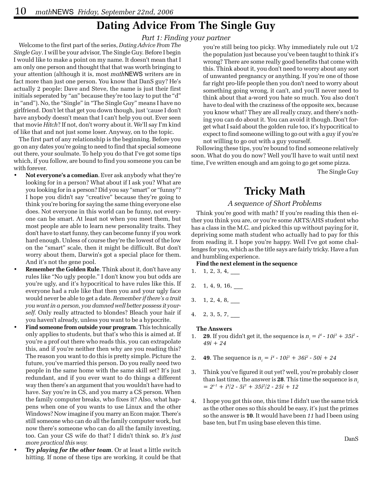### **Dating Advice From The Single Guy**

#### *Part 1: Finding your partner*

Welcome to the first part of the series, *Dating Advice From The Single Guy*. I will be your advisor, The Single Guy. Before I begin I would like to make a point on my name. It doesn't mean that I am only one person and thought that that was worth bringing to your attention (although it is, most *math*NEWS writers are in fact more than just one person. You know that DanS guy? He's actually 2 people: Dave and Steve, the name is just their first initials seperated by "an" because they're too lazy to put the "d" in "and"). No, the "Single" in "The Single Guy" means I have no girlfriend. Don't let that get you down though, just 'cause I don't have anybody doesn't mean that I can't help you out. Ever seen that movie *Hitch*? If not, don't worry about it. We'll say I'm kind of like that and not just some loser. Anyway, on to the topic.

The first part of any relationship is the beginning. Before you go on any dates you're going to need to find that special someone out there, your soulmate. To help you do that I've got some tips which, if you follow, are bound to find you someone you can be with forever.

- **Not everyone's a comedian**. Ever ask anybody what they're looking for in a person? What about if I ask you? What are you looking for in a person? Did you say "smart" or "funny"? I hope you didn't say "creative" because they're going to think you're boring for saying the same thing everyone else does. Not everyone in this world can be funny, not everyone can be smart. At least not when you meet them, but most people are able to learn new personality traits. They don't have to start funny, they can become funny if you work hard enough. Unless of course they're the lowest of the low on the "smart" scale, then it might be difficult. But don't worry about them, Darwin's got a special place for them. And it's not the gene pool.
	- **Remember the Golden Rule**. Think about it, don't have any rules like "No ugly people." I don't know you but odds are you're ugly, and it's hypocritical to have rules like this. If everyone had a rule like that then you and your ugly face would never be able to get a date. *Remember if there's a trait you want in a person, you damned well better possess it yourself.* Only really attracted to blondes? Bleach your hair if you haven't already, unless you want to be a hypocrite.
		- **Find someone from outside your program**. This technically only applies to students, but that's who this is aimed at. If you're a prof out there who reads this, you can extrapolate this, and if you're neither then why are you reading this? The reason you want to do this is pretty simple. Picture the future, you've married this person. Do you really need two people in the same home with the same skill set? It's just redundant, and if you ever want to do things a different way then there's an argument that you wouldn't have had to have. Say you're in CS, and you marry a CS person. When the family computer breaks, who fixes it? Also, what happens when one of you wants to use Linux and the other Windows? Now imagine if you marry an Econ major. There's still someone who can do all the family computer work, but now there's someone who can do all the family investing, too. Can your CS wife do that? I didn't think so. *It's just more practical this way.*
- **Try** *playing for the other team*. Or at least a little switch hitting. If none of these tips are working, it could be that

you're still being too picky. Why immediately rule out 1/2 the population just because you've been taught to think it's wrong? There are some really good benefits that come with this. Think about it, you don't need to worry about any sort of unwanted pregnancy or anything. If you're one of those far right pro-life people then you don't need to worry about something going wrong, it can't, and you'll never need to think about that a-word you hate so much. You also don't have to deal with the craziness of the opposite sex, because you know what? They are all really crazy, and there's nothing you can do about it. You can avoid it though. Don't forget what I said about the golden rule too, it's hypocritical to expect to find someone willing to go out with a guy if you're not willing to go out with a guy yourself.

Following these tips, you're bound to find someone relatively soon. What do you do now? Well you'll have to wait until next time, I've written enough and am going to go get some pizza.

The Single Guy

### **Tricky Math**

#### *A sequence of Short Problems*

Think you're good with math? If you're reading this then either you think you are, or you're some ARTS/AHS student who has a class in the M.C. and picked this up without paying for it, depriving some math student who actually had to pay for this from reading it. I hope you're happy. Well I've got some challenges for you, which as the title says are fairly tricky. Have a fun and humbling experience.

#### **Find the next element in the sequence**

- 1. 1, 2, 3, 4,  $\_\_$
- 2. 1, 4, 9, 16,
- 3. 1, 2, 4, 8, \_\_\_
- 4. 2, 3, 5, 7, \_\_\_

#### **The Answers**

- 1. **29.** If you didn't get it, the sequence is  $n_i = i^4 10i^3 + 35i^2$ *49i + 24*
- 2. **49.** The sequence is  $n_i = i^4 10i^3 + 36i^2 50i + 24$
- 3. Think you've figured it out yet? well, you're probably closer than last time, the answer is **28**. This time the sequence is *ni*  $= 2^{i-1} + i^{4}/2 - 5i^{3} + 35i^{2}/2 - 25i + 12$
- 4. I hope you got this one, this time I didn't use the same trick as the other ones so this should be easy, it's just the primes so the answer is **10**. It would have been *11* had I been using base ten, but I'm using base eleven this time.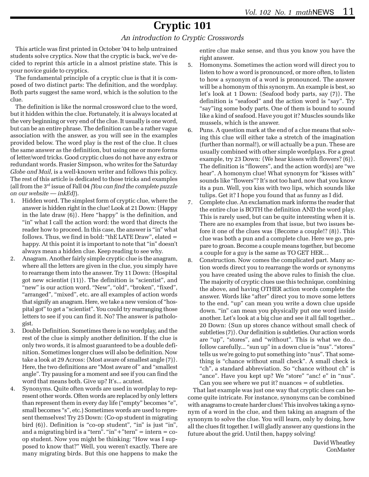### **Cryptic 101**

#### *An introduction to Cryptic Crosswords*

This article was first printed in October '04 to help untrained students solve cryptics. Now that the cryptic is back, we've decided to reprint this article in a almost pristine state. This is your novice guide to cryptics.

The fundamental principle of a cryptic clue is that it is composed of two distinct parts: The definition, and the wordplay. Both parts suggest the same word, which is the solution to the clue.

The definition is like the normal crossword clue to the word, but it hidden within the clue. Fortunately, it is always located at the very beginning or very end of the clue. It usually is one word, but can be an entire phrase. The definition can be a rather vague association with the answer, as you will see in the examples provided below. The word play is the rest of the clue. It clues the same answer as the definition, but using one or more forms of letter/word tricks. Good cryptic clues do not have any extra or redundant words. Frasier Simpson, who writes for the Saturday *Globe and Mail*, is a well-known writer and follows this policy. The rest of this article is dedicated to those tricks and examples (all from the 3rd issue of Fall 04 *[You can find the complete puzzle on our website — inkEd]*).

- 1. Hidden word. The simplest form of cryptic clue, where the answer is hidden right in the clue! Look at 21 Down: {Happy in the late draw (6)}. Here "happy" is the definition, and "in" what I call the action word: the word that directs the reader how to proceed. In this case, the answer is "in" what follows. Thus, we find in bold: "thE LATE Draw", elated = happy. At this point it is important to note that "in" doesn't always mean a hidden clue. Keep reading to see why.
- 2. Anagram. Another fairly simple cryptic clue is the anagram, where all the letters are given in the clue, you simply have to rearrange them into the answer. Try 11 Down: {Hospital got new scientist (11)}. The definition is "scientist", and "new" is our action word. "New", "old", "broken", "fixed", "arranged", "mixed", etc. are all examples of action words that signify an anagram. Here, we take a new version of "hospital got" to get a "scientist". You could try rearranging those letters to see if you can find it. No? The answer is pathologist.
- 3. Double Definition. Sometimes there is no wordplay, and the rest of the clue is simply another definition. If the clue is only two words, it is almost guaranteed to be a double definition. Sometimes longer clues will also be definition. Now take a look at 29 Across: {Most aware of smallest angle (7)}. Here, the two definitions are "Most aware of" and "smallest angle". Try pausing for a moment and see if you can find the word that means both. Give up? It's... acutest.
- 4. Synonyms. Quite often words are used in wordplay to represent other words. Often words are replaced by only letters than represent them in every day life ("empty" becomes "e", small becomes "s", etc.) Sometimes words are used to represent themselves! Try 25 Down: {Co-op student in migrating bird (6)}. Definition is "co-op student", "in" is just "in", and a migrating bird is a "tern". "in" $+$ "tern" = intern = coop student. Now you might be thinking: "How was I supposed to know that?" Well, you weren't exactly. There are many migrating birds. But this one happens to make the

entire clue make sense, and thus you know you have the right answer.

- 5. Homonyms. Sometimes the action word will direct you to listen to how a word is pronounced, or more often, to listen to how a synonym of a word is pronounced. The answer will be a homonym of this synonym. An example is best, so let's look at 1 Down: {Seafood body parts, say (7)}. The definition is "seafood" and the action word is "say". Try "say"ing some body parts. One of them is bound to sound like a kind of seafood. Have you got it? Muscles sounds like mussels, which is the answer.
- 6. Puns. A question mark at the end of a clue means that solving this clue will either take a stretch of the imagination (further than normal!), or will actually be a pun. These are usually combined with other simple wordplays. For a great example, try 23 Down: {We hear kisses with flowers? (6)}. The definition is "flowers", and the action word(s) are "we hear". A homonym clue! What synonym for "kisses with" sounds like "flowers"? It's not too hard, now that you know its a pun. Well, you kiss with two lips, which sounds like tulips. Get it? I hope you found that as funny as I did.
- 7. Complete clue. An exclamation mark informs the reader that the entire clue is BOTH the definition AND the word play. This is rarely used, but can be quite interesting when it is. There are no examples from that issue, but two issues before it one of the clues was {Become a couple!? (8)}. This clue was both a pun and a complete clue. Here we go, prepare to groan. Become a couple means together, but become a couple for a guy is the same as TO GET HER…
- 8. Construction. Now comes the complicated part. Many action words direct you to rearrange the words or synonyms you have created using the above rules to finish the clue. The majority of cryptic clues use this technique, combining the above, and having OTHER action words complete the answer. Words like "after" direct you to move some letters to the end. "up" can mean you write a down clue upside down. "in" can mean you physically put one word inside another. Let's look at a big clue and see it all fall together... 20 Down: {Sun up stores chance without small check of subtleties (7)}. Our definition is subtleties. Our action words are "up", "stores", and "without". This is what we do... follow carefully... "sun up" in a down clue is "nus". "stores" tells us we're going to put something into "nus". That something is "chance without small check". A small check is "ch", a standard abbreviation. So "chance without ch" is "ance". Have you kept up? We "store" "anc! e" in "nus". Can you see where we put it? nuances = of subtleties.

That last example was just one way that cryptic clues can become quite intricate. For instance, synonyms can be combined with anagrams to create harder clues! This involves taking a synonym of a word in the clue, and then taking an anagram of the synonym to solve the clue. You will learn, only by doing, how all the clues fit together. I will gladly answer any questions in the future about the grid. Until then, happy solving!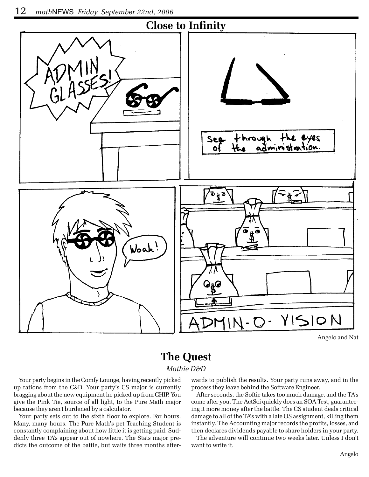

Angelo and Nat

### **The Quest**

#### *Mathie D&D*

Your party begins in the Comfy Lounge, having recently picked up rations from the C&D. Your party's CS major is currently bragging about the new equipment he picked up from CHIP. You give the Pink Tie, source of all light, to the Pure Math major because they aren't burdened by a calculator.

Your party sets out to the sixth floor to explore. For hours. Many, many hours. The Pure Math's pet Teaching Student is constantly complaining about how little it is getting paid. Suddenly three TA's appear out of nowhere. The Stats major predicts the outcome of the battle, but waits three months afterwards to publish the results. Your party runs away, and in the process they leave behind the Software Engineer.

After seconds, the Softie takes too much damage, and the TA's come after you. The ActSci quickly does an SOA Test, guaranteeing it more money after the battle. The CS student deals critical damage to all of the TA's with a late OS assignment, killing them instantly. The Accounting major records the profits, losses, and then declares dividends payable to share holders in your party.

The adventure will continue two weeks later. Unless I don't want to write it.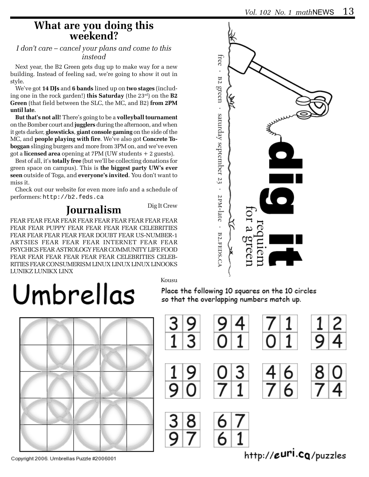# **What are you doing this weekend?**

#### *I don't care – cancel your plans and come to this instead*

Next year, the B2 Green gets dug up to make way for a new building. Instead of feeling sad, we're going to show it out in style.

We've got **14 DJs** and **6 bands** lined up on **two stages** (including one in the rock garden!) **this Saturday** (the 23rd) on the **B2 Green** (that field between the SLC, the MC, and B2) **from 2PM until late**.

**But that's not all!** There's going to be a **volleyball tournament** on the Bomber court and **jugglers** during the afternoon, and when it gets darker, **glowsticks**, **giant console gaming** on the side of the MC, and **people playing with fire**. We've also got **Concrete Toboggan** slinging burgers and more from 3PM on, and we've even got a **licensed area** opening at 7PM (UW students + 2 guests).

Best of all, it's **totally free** (but we'll be collecting donations for green space on campus). This is **the biggest party UW's ever seen** outside of Toga, and **everyone's invited**. You don't want to miss it.

Check out our website for even more info and a schedule of performers: http://b2.feds.ca

### **Journalism** Dig It Crew

FEAR FEAR FEAR FEAR FEAR FEAR FEAR FEAR FEAR FEAR FEAR FEAR PUPPY FEAR FEAR FEAR FEAR CELEBRITIES FEAR FEAR FEAR FEAR FEAR DOUBT FEAR US-NUMBER-1 ARTSIES FEAR FEAR FEAR INTERNET FEAR FEAR PSYCHICS FEAR ASTROLOGY FEAR COMMUNITY LIFE FOOD FEAR FEAR FEAR FEAR FEAR FEAR CELEBRITIES CELEB-RITIES FEAR CONSUMERISM LINUX LINUX LINUX LINOOKS LUNIKZ LUNIKX LINX

# Umbrellas

Kousu

Place the following 10 squares on the 10 circles so that the overlapping numbers match up.





Copyright 2006. Umbrellas Puzzle #2006001

http://euri.cq/puzzles